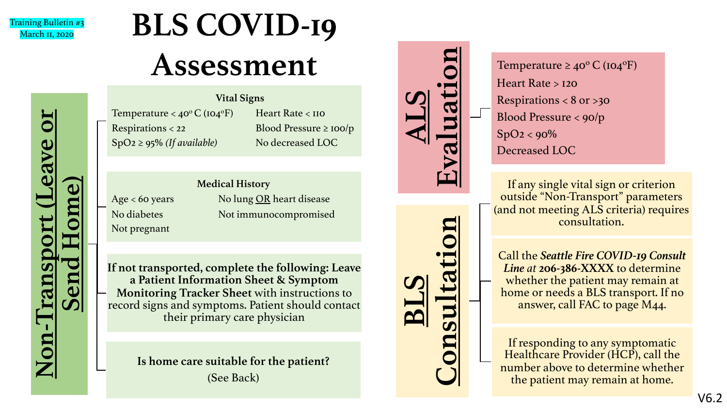

**Non**

**-Transport (Leave or** 

rods

ave

**Send Home)**

## **BLS COVID-19 Assessment**

Temperature <  $40^{\circ}$ C ( $104^{\circ}$ F) Heart Rate < 110 Respirations < 22 Blood Pressure ≥ 100/p SpO2 ≥ 95% *(If available)* No decreased LOC

**Vital Signs**

Not pregnant

**Medical History** Age < 60 years No lung OR heart disease No diabetes Not immunocompromised

**If not transported, complete the following: Leave a Patient Information Sheet & Symptom Monitoring Tracker Sheet** with instructions to record signs and symptoms. Patient should contact their primary care physician

> **Is home care suitable for the patient?**  (See Back)



**BLS** 

**Consultation**

Temperature  $\geq 40^{\circ}$  C (104<sup>o</sup>F) Heart Rate > 120 Respirations  $< 8$  or  $> 30$ Blood Pressure < 90/p  $SpO2 < 90\%$ Decreased LOC

If any single vital sign or criterion outside "Non-Transport" parameters (and not meeting ALS criteria) requires consultation.

Call the *Seattle Fire COVID-19 Consult Line at* **206-386-XXXX** to determine whether the patient may remain at home or needs a BLS transport. If no answer, call FAC to page M44.

If responding to any symptomatic Healthcare Provider (HCP), call the number above to determine whether the patient may remain at home.